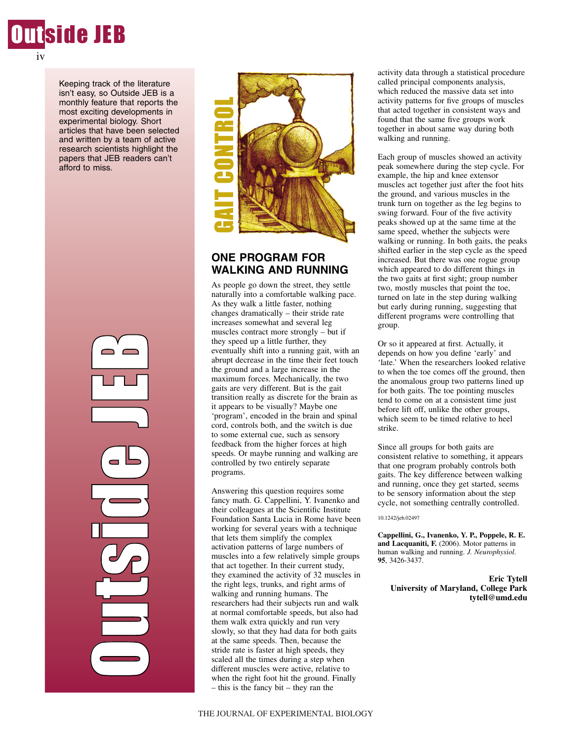

Keeping track of the literature isn't easy, so Outside JEB is a monthly feature that reports the most exciting developments in experimental biology. Short articles that have been selected and written by a team of active research scientists highlight the papers that JEB readers can't afford to miss.





## **ONE PROGRAM FOR WALKING AND RUNNING**

As people go down the street, they settle naturally into a comfortable walking pace. As they walk a little faster, nothing changes dramatically – their stride rate increases somewhat and several leg muscles contract more strongly – but if they speed up a little further, they eventually shift into a running gait, with an abrupt decrease in the time their feet touch the ground and a large increase in the maximum forces. Mechanically, the two gaits are very different. But is the gait transition really as discrete for the brain as it appears to be visually? Maybe one 'program', encoded in the brain and spinal cord, controls both, and the switch is due to some external cue, such as sensory feedback from the higher forces at high speeds. Or maybe running and walking are controlled by two entirely separate programs.

Answering this question requires some fancy math. G. Cappellini, Y. Ivanenko and their colleagues at the Scientific Institute Foundation Santa Lucia in Rome have been working for several years with a technique that lets them simplify the complex activation patterns of large numbers of muscles into a few relatively simple groups that act together. In their current study, they examined the activity of 32 muscles in the right legs, trunks, and right arms of walking and running humans. The researchers had their subjects run and walk at normal comfortable speeds, but also had them walk extra quickly and run very slowly, so that they had data for both gaits at the same speeds. Then, because the stride rate is faster at high speeds, they scaled all the times during a step when different muscles were active, relative to when the right foot hit the ground. Finally – this is the fancy bit – they ran the

activity data through a statistical procedure called principal components analysis, which reduced the massive data set into activity patterns for five groups of muscles that acted together in consistent ways and found that the same five groups work together in about same way during both walking and running.

Each group of muscles showed an activity peak somewhere during the step cycle. For example, the hip and knee extensor muscles act together just after the foot hits the ground, and various muscles in the trunk turn on together as the leg begins to swing forward. Four of the five activity peaks showed up at the same time at the same speed, whether the subjects were walking or running. In both gaits, the peaks shifted earlier in the step cycle as the speed increased. But there was one rogue group which appeared to do different things in the two gaits at first sight; group number two, mostly muscles that point the toe, turned on late in the step during walking but early during running, suggesting that different programs were controlling that group.

Or so it appeared at first. Actually, it depends on how you define 'early' and 'late.' When the researchers looked relative to when the toe comes off the ground, then the anomalous group two patterns lined up for both gaits. The toe pointing muscles tend to come on at a consistent time just before lift off, unlike the other groups, which seem to be timed relative to heel strike.

Since all groups for both gaits are consistent relative to something, it appears that one program probably controls both gaits. The key difference between walking and running, once they get started, seems to be sensory information about the step cycle, not something centrally controlled.

#### 10.1242/jeb.02497

**Cappellini, G., Ivanenko, Y. P., Poppele, R. E. and Lacquaniti, F.** (2006). Motor patterns in human walking and running. *J. Neurophysiol.* **95**, 3426-3437.

**Eric Tytell University of Maryland, College Park tytell@umd.edu**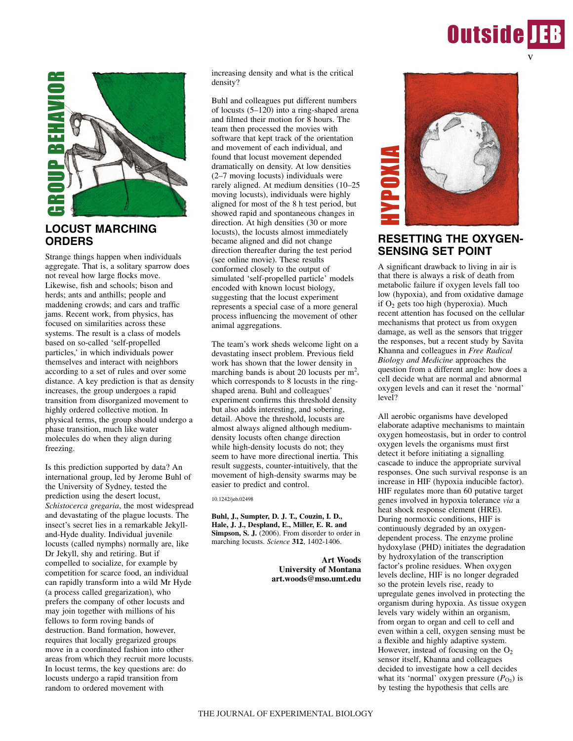# **Outside IEB** v



## **LOCUST MARCHING ORDERS**

Strange things happen when individuals aggregate. That is, a solitary sparrow does not reveal how large flocks move. Likewise, fish and schools; bison and herds; ants and anthills; people and maddening crowds; and cars and traffic jams. Recent work, from physics, has focused on similarities across these systems. The result is a class of models based on so-called 'self-propelled particles,' in which individuals power themselves and interact with neighbors according to a set of rules and over some distance. A key prediction is that as density increases, the group undergoes a rapid transition from disorganized movement to highly ordered collective motion. In physical terms, the group should undergo a phase transition, much like water molecules do when they align during freezing.

Is this prediction supported by data? An international group, led by Jerome Buhl of the University of Sydney, tested the prediction using the desert locust, *Schistocerca gregaria*, the most widespread and devastating of the plague locusts. The insect's secret lies in a remarkable Jekylland-Hyde duality. Individual juvenile locusts (called nymphs) normally are, like Dr Jekyll, shy and retiring. But if compelled to socialize, for example by competition for scarce food, an individual can rapidly transform into a wild Mr Hyde (a process called gregarization), who prefers the company of other locusts and may join together with millions of his fellows to form roving bands of destruction. Band formation, however, requires that locally gregarized groups move in a coordinated fashion into other areas from which they recruit more locusts. In locust terms, the key questions are: do locusts undergo a rapid transition from random to ordered movement with

increasing density and what is the critical density?

Buhl and colleagues put different numbers of locusts (5–120) into a ring-shaped arena and filmed their motion for 8 hours. The team then processed the movies with software that kept track of the orientation and movement of each individual, and found that locust movement depended dramatically on density. At low densities (2–7 moving locusts) individuals were rarely aligned. At medium densities (10–25 moving locusts), individuals were highly aligned for most of the 8 h test period, but showed rapid and spontaneous changes in direction. At high densities (30 or more locusts), the locusts almost immediately became aligned and did not change direction thereafter during the test period (see online movie). These results conformed closely to the output of simulated 'self-propelled particle' models encoded with known locust biology, suggesting that the locust experiment represents a special case of a more general process influencing the movement of other animal aggregations.

The team's work sheds welcome light on a devastating insect problem. Previous field work has shown that the lower density in marching bands is about 20 locusts per  $m^2$ , which corresponds to 8 locusts in the ringshaped arena. Buhl and colleagues' experiment confirms this threshold density but also adds interesting, and sobering, detail. Above the threshold, locusts are almost always aligned although mediumdensity locusts often change direction while high-density locusts do not; they seem to have more directional inertia. This result suggests, counter-intuitively, that the movement of high-density swarms may be easier to predict and control.

10.1242/jeb.02498

**Buhl, J., Sumpter, D. J. T., Couzin, I. D., Hale, J. J., Despland, E., Miller, E. R. and Simpson, S. J.** (2006). From disorder to order in marching locusts. *Science* **312**, 1402-1406.

> **Art Woods University of Montana art.woods@mso.umt.edu**



# **RESETTING THE OXYGEN-SENSING SET POINT**

A significant drawback to living in air is that there is always a risk of death from metabolic failure if oxygen levels fall too low (hypoxia), and from oxidative damage if  $O<sub>2</sub>$  gets too high (hyperoxia). Much recent attention has focused on the cellular mechanisms that protect us from oxygen damage, as well as the sensors that trigger the responses, but a recent study by Savita Khanna and colleagues in *Free Radical Biology and Medicine* approaches the question from a different angle: how does a cell decide what are normal and abnormal oxygen levels and can it reset the 'normal' level?

All aerobic organisms have developed elaborate adaptive mechanisms to maintain oxygen homeostasis, but in order to control oxygen levels the organisms must first detect it before initiating a signalling cascade to induce the appropriate survival responses. One such survival response is an increase in HIF (hypoxia inducible factor). HIF regulates more than 60 putative target genes involved in hypoxia tolerance *via* a heat shock response element (HRE). During normoxic conditions, HIF is continuously degraded by an oxygendependent process. The enzyme proline hydoxylase (PHD) initiates the degradation by hydroxylation of the transcription factor's proline residues. When oxygen levels decline, HIF is no longer degraded so the protein levels rise, ready to upregulate genes involved in protecting the organism during hypoxia. As tissue oxygen levels vary widely within an organism, from organ to organ and cell to cell and even within a cell, oxygen sensing must be a flexible and highly adaptive system. However, instead of focusing on the  $O<sub>2</sub>$ sensor itself, Khanna and colleagues decided to investigate how a cell decides what its 'normal' oxygen pressure  $(P<sub>O2</sub>)$  is<br>by testing the hypothesis that cells are **EXECUTE AS THE STAND AND THE CONFORMATION**<br> **RESETTING THE OXYGE**<br> **SENSING SET POINT**<br>
A significant drawback to living in air<br>
that there is always a risk of death from<br>
the the signing in the metabolic failure if oxyge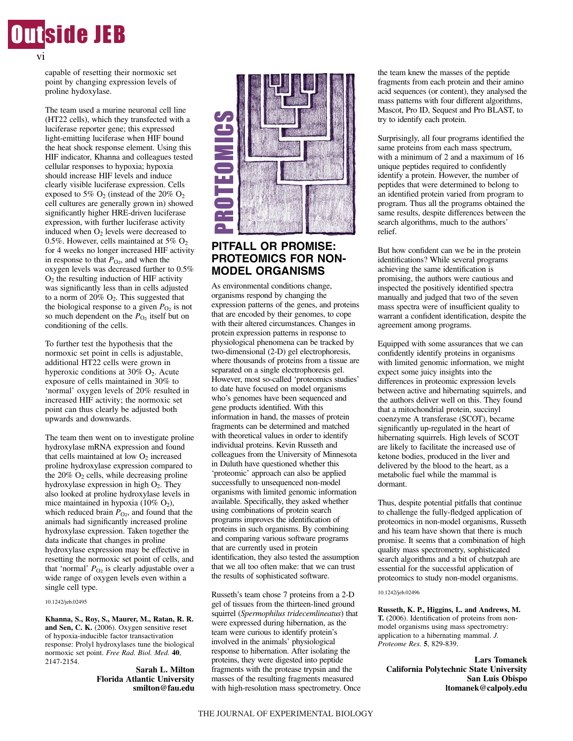

vi

capable of resetting their normoxic set point by changing expression levels of proline hydoxylase.

The team used a murine neuronal cell line (HT22 cells), which they transfected with a luciferase reporter gene; this expressed light-emitting luciferase when HIF bound the heat shock response element. Using this HIF indicator, Khanna and colleagues tested cellular responses to hypoxia; hypoxia should increase HIF levels and induce clearly visible luciferase expression. Cells exposed to 5%  $O_2$  (instead of the 20%  $O_2$ ) cell cultures are generally grown in) showed significantly higher HRE-driven luciferase expression, with further luciferase activity induced when  $O<sub>2</sub>$  levels were decreased to 0.5%. However, cells maintained at 5%  $O_2$ for 4 weeks no longer increased HIF activity in response to that  $P_{\text{O}_2}$ , and when the oxygen levels was decreased further to 0.5%  $O<sub>2</sub>$  the resulting induction of HIF activity was significantly less than in cells adjusted to a norm of  $20\%$  O<sub>2</sub>. This suggested that the biological response to a given  $P_{\text{O}_2}$  is not so much dependent on the  $P_{\text{O}_2}$  itself but on conditioning of the cells.

To further test the hypothesis that the normoxic set point in cells is adjustable, additional HT22 cells were grown in hyperoxic conditions at 30%  $O_2$ . Acute exposure of cells maintained in 30% to 'normal' oxygen levels of 20% resulted in increased HIF activity; the normoxic set point can thus clearly be adjusted both upwards and downwards.

The team then went on to investigate proline hydroxylase mRNA expression and found that cells maintained at low  $O_2$  increased proline hydroxylase expression compared to the  $20\%$  O<sub>2</sub> cells, while decreasing proline hydroxylase expression in high O<sub>2</sub>. They also looked at proline hydroxylase levels in mice maintained in hypoxia (10%  $O_2$ ), which reduced brain  $P_{\text{O}_2}$ , and found that the animals had significantly increased proline hydroxylase expression. Taken together the data indicate that changes in proline hydroxylase expression may be effective in resetting the normoxic set point of cells, and that 'normal'  $P_{O_2}$  is clearly adjustable over a wide range of oxygen levels even within a single cell type.

#### 10.1242/jeb.02495

**Khanna, S., Roy, S., Maurer, M., Ratan, R. R. and Sen, C. K.** (2006). Oxygen sensitive reset of hypoxia-inducible factor transactivation response: Prolyl hydroxylases tune the biological normoxic set point. *Free Rad. Biol. Med.* **40**, 2147-2154.

#### **Sarah L. Milton Florida Atlantic University smilton@fau.edu**



## **PITFALL OR PROMISE: PROTEOMICS FOR NON-MODEL ORGANISMS**

As environmental conditions change, organisms respond by changing the expression patterns of the genes, and proteins that are encoded by their genomes, to cope with their altered circumstances. Changes in protein expression patterns in response to physiological phenomena can be tracked by two-dimensional (2-D) gel electrophoresis, where thousands of proteins from a tissue are separated on a single electrophoresis gel. However, most so-called 'proteomics studies' to date have focused on model organisms who's genomes have been sequenced and gene products identified. With this information in hand, the masses of protein fragments can be determined and matched with theoretical values in order to identify individual proteins. Kevin Russeth and colleagues from the University of Minnesota in Duluth have questioned whether this 'proteomic' approach can also be applied successfully to unsequenced non-model organisms with limited genomic information available. Specifically, they asked whether using combinations of protein search programs improves the identification of proteins in such organisms. By combining and comparing various software programs that are currently used in protein identification, they also tested the assumption that we all too often make: that we can trust the results of sophisticated software.

Russeth's team chose 7 proteins from a 2-D gel of tissues from the thirteen-lined ground squirrel (*Spermophilus tridecemlineatus*) that were expressed during hibernation, as the team were curious to identify protein's involved in the animals' physiological response to hibernation. After isolating the proteins, they were digested into peptide fragments with the protease trypsin and the masses of the resulting fragments measured with high-resolution mass spectrometry. Once the team knew the masses of the peptide fragments from each protein and their amino acid sequences (or content), they analysed the mass patterns with four different algorithms, Mascot, Pro ID, Sequest and Pro BLAST, to try to identify each protein.

Surprisingly, all four programs identified the same proteins from each mass spectrum, with a minimum of 2 and a maximum of 16 unique peptides required to confidently identify a protein. However, the number of peptides that were determined to belong to an identified protein varied from program to program. Thus all the programs obtained the same results, despite differences between the search algorithms, much to the authors' relief.

But how confident can we be in the protein identifications? While several programs achieving the same identification is promising, the authors were cautious and inspected the positively identified spectra manually and judged that two of the seven mass spectra were of insufficient quality to warrant a confident identification, despite the agreement among programs.

Equipped with some assurances that we can confidently identify proteins in organisms with limited genomic information, we might expect some juicy insights into the differences in proteomic expression levels between active and hibernating squirrels, and the authors deliver well on this. They found that a mitochondrial protein, succinyl coenzyme A transferase (SCOT), became significantly up-regulated in the heart of hibernating squirrels. High levels of SCOT are likely to facilitate the increased use of ketone bodies, produced in the liver and delivered by the blood to the heart, as a metabolic fuel while the mammal is dormant.

Thus, despite potential pitfalls that continue to challenge the fully-fledged application of proteomics in non-model organisms, Russeth and his team have shown that there is much promise. It seems that a combination of high quality mass spectrometry, sophisticated search algorithms and a bit of chutzpah are essential for the successful application of proteomics to study non-model organisms.

#### 10.1242/jeb.02496

**Russeth, K. P., Higgins, L. and Andrews, M. T.** (2006). Identification of proteins from nonmodel organisms using mass spectrometry: application to a hibernating mammal. *J. Proteome Res.* **5**, 829-839.

**Lars Tomanek California Polytechnic State University San Luis Obispo ltomanek@calpoly.edu**